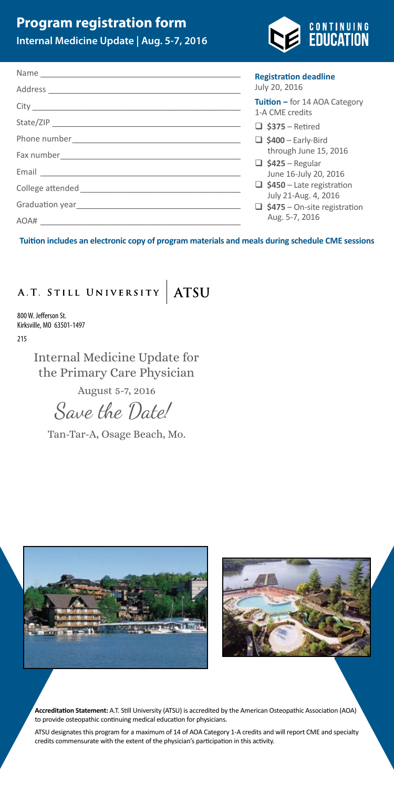# A.T. STILL UNIVERSITY ATSU

800 W. Jefferson St. Kirksville, MO 63501-1497

215

Internal Medicine Update for the Primary Care Physician

August 5-7, 2016

Save the Date!

Tan-Tar-A, Osage Beach, Mo.





**Accreditation Statement:** A.T. Still University (ATSU) is accredited by the American Osteopathic Association (AOA) to provide osteopathic continuing medical education for physicians.

ATSU designates this program for a maximum of 14 of AOA Category 1-A credits and will report CME and specialty credits commensurate with the extent of the physician's participation in this activity.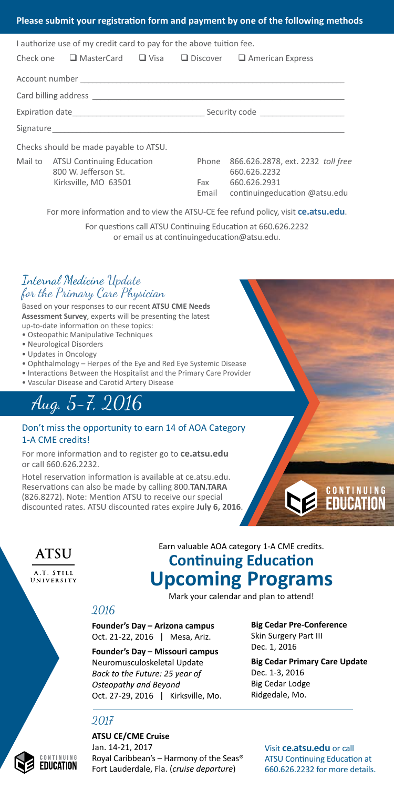#### Internal Medicine Update for the Primary Care Physician

Based on your responses to our recent **ATSU CME Needs Assessment Survey**, experts will be presenting the latest up-to-date information on these topics:

- Osteopathic Manipulative Techniques
- Neurological Disorders
- Updates in Oncology
- Ophthalmology Herpes of the Eye and Red Eye Systemic Disease
- Interactions Between the Hospitalist and the Primary Care Provider
- Vascular Disease and Carotid Artery Disease

# Aug. 5-7, 2016

#### Don't miss the opportunity to earn 14 of AOA Category 1-A CME credits!

For more information and to register go to **ce.atsu.edu** or call 660.626.2232.

Hotel reservation information is available at ce.atsu.edu. Reservations can also be made by calling 800.**TAN.TARA** (826.8272). Note: Mention ATSU to receive our special discounted rates. ATSU discounted rates expire **July 6, 2016**.



**ATSU** 

A.T. STILL UNIVERSITY

## Earn valuable AOA category 1-A CME credits. **Continuing Education Upcoming Programs**

Mark your calendar and plan to attend!

### 2016

**Founder's Day – Arizona campus** Oct. 21-22, 2016 | Mesa, Ariz.

**Founder's Day – Missouri campus** Neuromusculoskeletal Update *Back to the Future: 25 year of Osteopathy and Beyond* Oct. 27-29, 2016 | Kirksville, Mo. **Big Cedar Pre-Conference** Skin Surgery Part III Dec. 1, 2016

**Big Cedar Primary Care Update** Dec. 1-3, 2016 Big Cedar Lodge Ridgedale, Mo.

### 2017

**ATSU CE/CME Cruise** Jan. 14-21, 2017 Royal Caribbean's – Harmony of the Seas® Fort Lauderdale, Fla. (*cruise departure*)

Visit **ce.atsu.edu** or call ATSU Continuing Education at 660.626.2232 for more details.